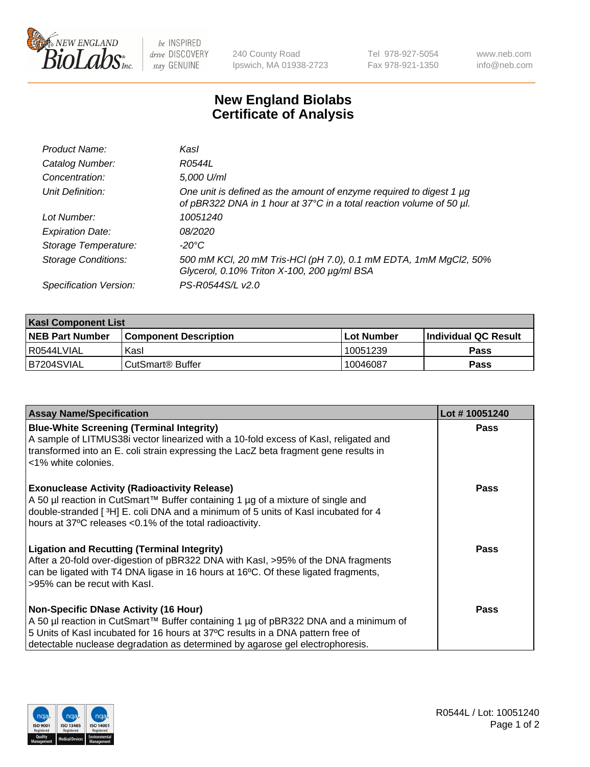

be INSPIRED drive DISCOVERY stay GENUINE

240 County Road Ipswich, MA 01938-2723 Tel 978-927-5054 Fax 978-921-1350

www.neb.com info@neb.com

## **New England Biolabs Certificate of Analysis**

| Product Name:              | Kasl                                                                                                                                             |
|----------------------------|--------------------------------------------------------------------------------------------------------------------------------------------------|
| Catalog Number:            | R0544L                                                                                                                                           |
| Concentration:             | 5,000 U/ml                                                                                                                                       |
| Unit Definition:           | One unit is defined as the amount of enzyme required to digest 1 $\mu$ g<br>of pBR322 DNA in 1 hour at 37°C in a total reaction volume of 50 µl. |
| Lot Number:                | 10051240                                                                                                                                         |
| <b>Expiration Date:</b>    | <i>08/2020</i>                                                                                                                                   |
| Storage Temperature:       | -20°C                                                                                                                                            |
| <b>Storage Conditions:</b> | 500 mM KCl, 20 mM Tris-HCl (pH 7.0), 0.1 mM EDTA, 1mM MgCl2, 50%<br>Glycerol, 0.10% Triton X-100, 200 µg/ml BSA                                  |
| Specification Version:     | PS-R0544S/L v2.0                                                                                                                                 |

| <b>Kasl Component List</b> |                              |                   |                             |  |  |
|----------------------------|------------------------------|-------------------|-----------------------------|--|--|
| <b>NEB Part Number</b>     | <b>Component Description</b> | <b>Lot Number</b> | <b>Individual QC Result</b> |  |  |
| I R0544LVIAL               | Kasl                         | 10051239          | <b>Pass</b>                 |  |  |
| B7204SVIAL                 | l CutSmart® Buffer           | 10046087          | Pass                        |  |  |

| <b>Assay Name/Specification</b>                                                                                                                                                                                                                                                                         | Lot #10051240 |
|---------------------------------------------------------------------------------------------------------------------------------------------------------------------------------------------------------------------------------------------------------------------------------------------------------|---------------|
| <b>Blue-White Screening (Terminal Integrity)</b><br>A sample of LITMUS38i vector linearized with a 10-fold excess of Kasl, religated and<br>transformed into an E. coli strain expressing the LacZ beta fragment gene results in<br><1% white colonies.                                                 | Pass          |
| <b>Exonuclease Activity (Radioactivity Release)</b><br>A 50 µl reaction in CutSmart™ Buffer containing 1 µg of a mixture of single and<br>double-stranded [3H] E. coli DNA and a minimum of 5 units of Kasl incubated for 4<br>hours at 37°C releases <0.1% of the total radioactivity.                 | <b>Pass</b>   |
| <b>Ligation and Recutting (Terminal Integrity)</b><br>After a 20-fold over-digestion of pBR322 DNA with Kasl, >95% of the DNA fragments<br>can be ligated with T4 DNA ligase in 16 hours at 16°C. Of these ligated fragments,<br>>95% can be recut with Kasl.                                           | Pass          |
| <b>Non-Specific DNase Activity (16 Hour)</b><br>A 50 µl reaction in CutSmart™ Buffer containing 1 µg of pBR322 DNA and a minimum of<br>5 Units of Kasl incubated for 16 hours at 37°C results in a DNA pattern free of<br>detectable nuclease degradation as determined by agarose gel electrophoresis. | Pass          |